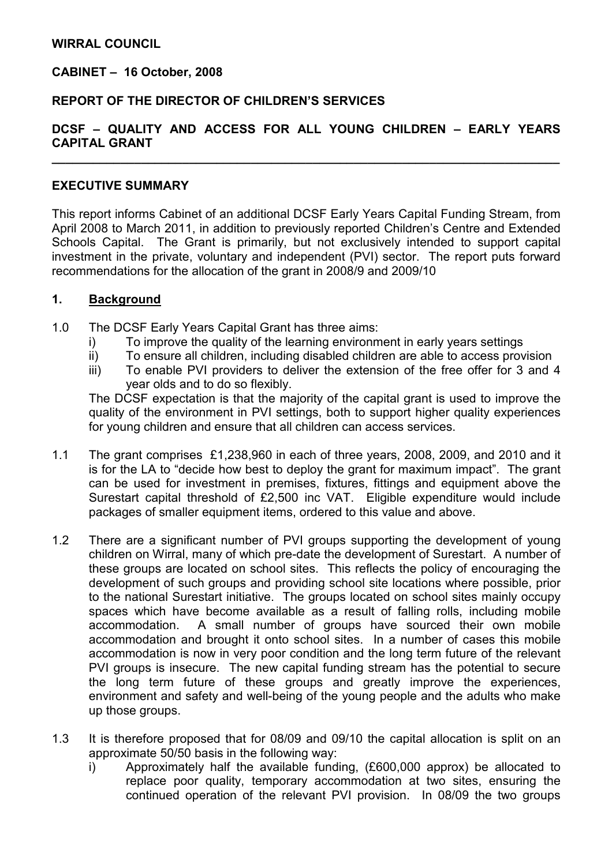### WIRRAL COUNCIL

### CABINET – 16 October, 2008

### REPORT OF THE DIRECTOR OF CHILDREN'S SERVICES

# DCSF – QUALITY AND ACCESS FOR ALL YOUNG CHILDREN – EARLY YEARS CAPITAL GRANT

 $\overline{\phantom{a}}$  , and the contract of the contract of the contract of the contract of the contract of the contract of the contract of the contract of the contract of the contract of the contract of the contract of the contrac

### EXECUTIVE SUMMARY

This report informs Cabinet of an additional DCSF Early Years Capital Funding Stream, from April 2008 to March 2011, in addition to previously reported Children's Centre and Extended Schools Capital. The Grant is primarily, but not exclusively intended to support capital investment in the private, voluntary and independent (PVI) sector. The report puts forward recommendations for the allocation of the grant in 2008/9 and 2009/10

#### 1. Background

- 1.0 The DCSF Early Years Capital Grant has three aims:
	- i) To improve the quality of the learning environment in early years settings
	- ii) To ensure all children, including disabled children are able to access provision
	- iii) To enable PVI providers to deliver the extension of the free offer for 3 and 4 year olds and to do so flexibly.

The DCSF expectation is that the majority of the capital grant is used to improve the quality of the environment in PVI settings, both to support higher quality experiences for young children and ensure that all children can access services.

- 1.1 The grant comprises £1,238,960 in each of three years, 2008, 2009, and 2010 and it is for the LA to "decide how best to deploy the grant for maximum impact". The grant can be used for investment in premises, fixtures, fittings and equipment above the Surestart capital threshold of £2,500 inc VAT. Eligible expenditure would include packages of smaller equipment items, ordered to this value and above.
- 1.2 There are a significant number of PVI groups supporting the development of young children on Wirral, many of which pre-date the development of Surestart. A number of these groups are located on school sites. This reflects the policy of encouraging the development of such groups and providing school site locations where possible, prior to the national Surestart initiative. The groups located on school sites mainly occupy spaces which have become available as a result of falling rolls, including mobile accommodation. A small number of groups have sourced their own mobile accommodation and brought it onto school sites. In a number of cases this mobile accommodation is now in very poor condition and the long term future of the relevant PVI groups is insecure. The new capital funding stream has the potential to secure the long term future of these groups and greatly improve the experiences, environment and safety and well-being of the young people and the adults who make up those groups.
- 1.3 It is therefore proposed that for 08/09 and 09/10 the capital allocation is split on an approximate 50/50 basis in the following way:
	- i) Approximately half the available funding, (£600,000 approx) be allocated to replace poor quality, temporary accommodation at two sites, ensuring the continued operation of the relevant PVI provision. In 08/09 the two groups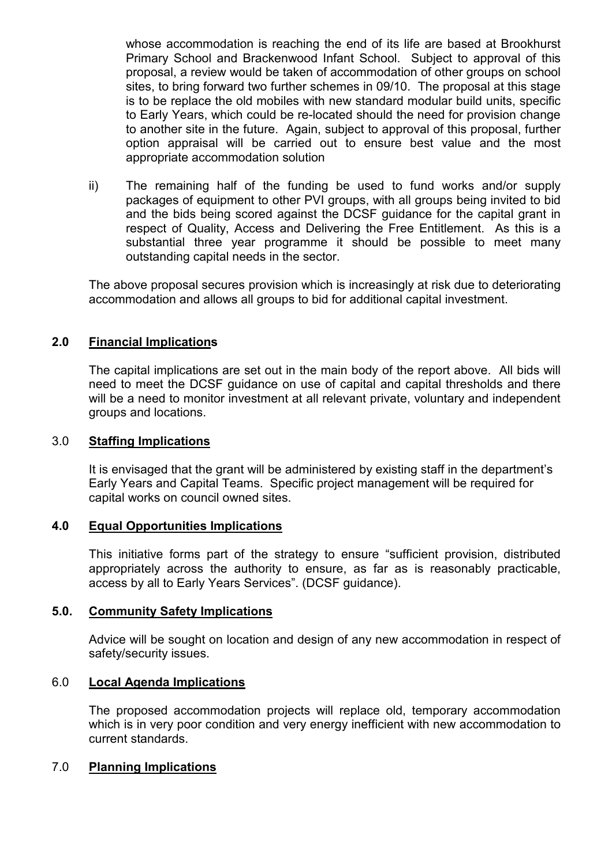whose accommodation is reaching the end of its life are based at Brookhurst Primary School and Brackenwood Infant School. Subject to approval of this proposal, a review would be taken of accommodation of other groups on school sites, to bring forward two further schemes in 09/10. The proposal at this stage is to be replace the old mobiles with new standard modular build units, specific to Early Years, which could be re-located should the need for provision change to another site in the future. Again, subject to approval of this proposal, further option appraisal will be carried out to ensure best value and the most appropriate accommodation solution

ii) The remaining half of the funding be used to fund works and/or supply packages of equipment to other PVI groups, with all groups being invited to bid and the bids being scored against the DCSF guidance for the capital grant in respect of Quality, Access and Delivering the Free Entitlement. As this is a substantial three year programme it should be possible to meet many outstanding capital needs in the sector.

The above proposal secures provision which is increasingly at risk due to deteriorating accommodation and allows all groups to bid for additional capital investment.

# 2.0 Financial Implications

The capital implications are set out in the main body of the report above. All bids will need to meet the DCSF guidance on use of capital and capital thresholds and there will be a need to monitor investment at all relevant private, voluntary and independent groups and locations.

## 3.0 Staffing Implications

 It is envisaged that the grant will be administered by existing staff in the department's Early Years and Capital Teams. Specific project management will be required for capital works on council owned sites.

#### 4.0 Equal Opportunities Implications

 This initiative forms part of the strategy to ensure "sufficient provision, distributed appropriately across the authority to ensure, as far as is reasonably practicable, access by all to Early Years Services". (DCSF guidance).

## 5.0. Community Safety Implications

 Advice will be sought on location and design of any new accommodation in respect of safety/security issues.

## 6.0 Local Agenda Implications

 The proposed accommodation projects will replace old, temporary accommodation which is in very poor condition and very energy inefficient with new accommodation to current standards.

## 7.0 Planning Implications